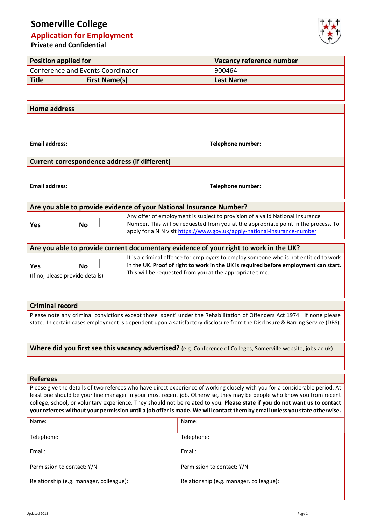# **Somerville College**

## **Application for Employment**

**Private and Confidential**



| <b>Position applied for</b>                                                                                                                                                                                                                           |                      |                                                                                                                                                  | Vacancy reference number                                                                                                 |  |  |  |
|-------------------------------------------------------------------------------------------------------------------------------------------------------------------------------------------------------------------------------------------------------|----------------------|--------------------------------------------------------------------------------------------------------------------------------------------------|--------------------------------------------------------------------------------------------------------------------------|--|--|--|
| <b>Conference and Events Coordinator</b>                                                                                                                                                                                                              |                      |                                                                                                                                                  | 900464                                                                                                                   |  |  |  |
| <b>Title</b>                                                                                                                                                                                                                                          | <b>First Name(s)</b> |                                                                                                                                                  | <b>Last Name</b>                                                                                                         |  |  |  |
|                                                                                                                                                                                                                                                       |                      |                                                                                                                                                  |                                                                                                                          |  |  |  |
|                                                                                                                                                                                                                                                       |                      |                                                                                                                                                  |                                                                                                                          |  |  |  |
| <b>Home address</b>                                                                                                                                                                                                                                   |                      |                                                                                                                                                  |                                                                                                                          |  |  |  |
|                                                                                                                                                                                                                                                       |                      |                                                                                                                                                  |                                                                                                                          |  |  |  |
|                                                                                                                                                                                                                                                       |                      |                                                                                                                                                  |                                                                                                                          |  |  |  |
| <b>Email address:</b>                                                                                                                                                                                                                                 |                      | Telephone number:                                                                                                                                |                                                                                                                          |  |  |  |
| <b>Current correspondence address (if different)</b>                                                                                                                                                                                                  |                      |                                                                                                                                                  |                                                                                                                          |  |  |  |
|                                                                                                                                                                                                                                                       |                      |                                                                                                                                                  |                                                                                                                          |  |  |  |
|                                                                                                                                                                                                                                                       |                      |                                                                                                                                                  |                                                                                                                          |  |  |  |
| <b>Email address:</b>                                                                                                                                                                                                                                 |                      | Telephone number:                                                                                                                                |                                                                                                                          |  |  |  |
| Are you able to provide evidence of your National Insurance Number?                                                                                                                                                                                   |                      |                                                                                                                                                  |                                                                                                                          |  |  |  |
|                                                                                                                                                                                                                                                       |                      |                                                                                                                                                  | Any offer of employment is subject to provision of a valid National Insurance                                            |  |  |  |
| <b>No</b><br>Yes                                                                                                                                                                                                                                      |                      | Number. This will be requested from you at the appropriate point in the process. To                                                              |                                                                                                                          |  |  |  |
|                                                                                                                                                                                                                                                       |                      | apply for a NIN visit https://www.gov.uk/apply-national-insurance-number                                                                         |                                                                                                                          |  |  |  |
|                                                                                                                                                                                                                                                       |                      |                                                                                                                                                  | Are you able to provide current documentary evidence of your right to work in the UK?                                    |  |  |  |
|                                                                                                                                                                                                                                                       |                      | It is a criminal offence for employers to employ someone who is not entitled to work                                                             |                                                                                                                          |  |  |  |
| <b>Yes</b>                                                                                                                                                                                                                                            | <b>No</b>            | in the UK. Proof of right to work in the UK is required before employment can start.<br>This will be requested from you at the appropriate time. |                                                                                                                          |  |  |  |
| (If no, please provide details)                                                                                                                                                                                                                       |                      |                                                                                                                                                  |                                                                                                                          |  |  |  |
|                                                                                                                                                                                                                                                       |                      |                                                                                                                                                  |                                                                                                                          |  |  |  |
| <b>Criminal record</b>                                                                                                                                                                                                                                |                      |                                                                                                                                                  |                                                                                                                          |  |  |  |
|                                                                                                                                                                                                                                                       |                      |                                                                                                                                                  | Please note any criminal convictions except those 'spent' under the Rehabilitation of Offenders Act 1974. If none please |  |  |  |
| state. In certain cases employment is dependent upon a satisfactory disclosure from the Disclosure & Barring Service (DBS).                                                                                                                           |                      |                                                                                                                                                  |                                                                                                                          |  |  |  |
|                                                                                                                                                                                                                                                       |                      |                                                                                                                                                  |                                                                                                                          |  |  |  |
|                                                                                                                                                                                                                                                       |                      |                                                                                                                                                  | Where did you first see this vacancy advertised? (e.g. Conference of Colleges, Somerville website, jobs.ac.uk)           |  |  |  |
|                                                                                                                                                                                                                                                       |                      |                                                                                                                                                  |                                                                                                                          |  |  |  |
|                                                                                                                                                                                                                                                       |                      |                                                                                                                                                  |                                                                                                                          |  |  |  |
| <b>Referees</b>                                                                                                                                                                                                                                       |                      |                                                                                                                                                  |                                                                                                                          |  |  |  |
| Please give the details of two referees who have direct experience of working closely with you for a considerable period. At<br>least one should be your line manager in your most recent job. Otherwise, they may be people who know you from recent |                      |                                                                                                                                                  |                                                                                                                          |  |  |  |
| college, school, or voluntary experience. They should not be related to you. Please state if you do not want us to contact                                                                                                                            |                      |                                                                                                                                                  |                                                                                                                          |  |  |  |
| your referees without your permission until a job offer is made. We will contact them by email unless you state otherwise.                                                                                                                            |                      |                                                                                                                                                  |                                                                                                                          |  |  |  |
| Name:                                                                                                                                                                                                                                                 |                      |                                                                                                                                                  | Name:                                                                                                                    |  |  |  |
| Telephone:                                                                                                                                                                                                                                            |                      |                                                                                                                                                  | Telephone:                                                                                                               |  |  |  |
| Email:                                                                                                                                                                                                                                                |                      |                                                                                                                                                  | Email:                                                                                                                   |  |  |  |
| Permission to contact: Y/N                                                                                                                                                                                                                            |                      |                                                                                                                                                  | Permission to contact: Y/N                                                                                               |  |  |  |
| Relationship (e.g. manager, colleague):                                                                                                                                                                                                               |                      |                                                                                                                                                  | Relationship (e.g. manager, colleague):                                                                                  |  |  |  |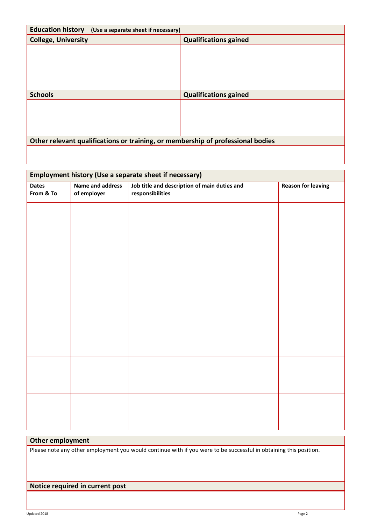| <b>Education history</b> (Use a separate sheet if necessary)                    |                              |  |  |  |
|---------------------------------------------------------------------------------|------------------------------|--|--|--|
| <b>College, University</b>                                                      | <b>Qualifications gained</b> |  |  |  |
|                                                                                 |                              |  |  |  |
|                                                                                 |                              |  |  |  |
|                                                                                 |                              |  |  |  |
|                                                                                 |                              |  |  |  |
|                                                                                 |                              |  |  |  |
| <b>Schools</b>                                                                  | <b>Qualifications gained</b> |  |  |  |
|                                                                                 |                              |  |  |  |
|                                                                                 |                              |  |  |  |
|                                                                                 |                              |  |  |  |
|                                                                                 |                              |  |  |  |
| Other relevant qualifications or training, or membership of professional bodies |                              |  |  |  |
|                                                                                 |                              |  |  |  |

| Employment history (Use a separate sheet if necessary) |                                 |                                                                  |                           |  |  |
|--------------------------------------------------------|---------------------------------|------------------------------------------------------------------|---------------------------|--|--|
| <b>Dates</b><br>From & To                              | Name and address<br>of employer | Job title and description of main duties and<br>responsibilities | <b>Reason for leaving</b> |  |  |
|                                                        |                                 |                                                                  |                           |  |  |
|                                                        |                                 |                                                                  |                           |  |  |
|                                                        |                                 |                                                                  |                           |  |  |
|                                                        |                                 |                                                                  |                           |  |  |
|                                                        |                                 |                                                                  |                           |  |  |
|                                                        |                                 |                                                                  |                           |  |  |
|                                                        |                                 |                                                                  |                           |  |  |
|                                                        |                                 |                                                                  |                           |  |  |
|                                                        |                                 |                                                                  |                           |  |  |
|                                                        |                                 |                                                                  |                           |  |  |
|                                                        |                                 |                                                                  |                           |  |  |
|                                                        |                                 |                                                                  |                           |  |  |
|                                                        |                                 |                                                                  |                           |  |  |

### **Other employment**

Please note any other employment you would continue with if you were to be successful in obtaining this position.

### **Notice required in current post**